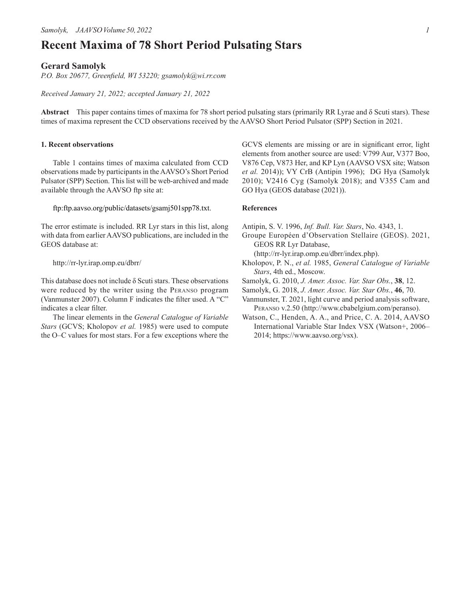# **Recent Maxima of 78 Short Period Pulsating Stars**

### **Gerard Samolyk**

*P.O. Box 20677, Greenfield, WI 53220; gsamolyk@wi.rr.com*

*Received January 21, 2022; accepted January 21, 2022*

**Abstract** This paper contains times of maxima for 78 short period pulsating stars (primarily RR Lyrae and δ Scuti stars). These times of maxima represent the CCD observations received by the AAVSO Short Period Pulsator (SPP) Section in 2021.

#### **1. Recent observations**

Table 1 contains times of maxima calculated from CCD observations made by participants in theAAVSO's Short Period Pulsator (SPP) Section. This list will be web-archived and made available through the AAVSO ftp site at:

ftp:ftp.aavso.org/public/datasets/gsamj501spp78.txt.

The error estimate is included. RR Lyr stars in this list, along with data from earlier AAVSO publications, are included in the GEOS database at:

http://rr-lyr.irap.omp.eu/dbrr/

This database does not include  $\delta$  Scuti stars. These observations were reduced by the writer using the Peranso program (Vanmunster 2007). Column F indicates the filter used. A "C" indicates a clear filter.

The linear elements in the *General Catalogue of Variable Stars* (GCVS; Kholopov *et al.* 1985) were used to compute the O–C values for most stars. For a few exceptions where the GCVS elements are missing or are in significant error, light elements from another source are used: V799 Aur, V377 Boo, V876 Cep, V873 Her, and KP Lyn (AAVSO VSX site; Watson *et al.* 2014)); VY CrB (Antipin 1996); DG Hya (Samolyk 2010); V2416 Cyg (Samolyk 2018); and V355 Cam and GO Hya (GEOS database (2021)).

#### **References**

Antipin, S. V. 1996, *Inf. Bull. Var. Stars*, No. 4343, 1.

Groupe Européen d'Observation Stellaire (GEOS). 2021, GEOS RR Lyr Database,

(http://rr-lyr.irap.omp.eu/dbrr/index.php).

- Kholopov, P. N., *et al.* 1985, *General Catalogue of Variable Stars*, 4th ed., Moscow.
- Samolyk, G. 2010, *J. Amer. Assoc. Var. Star Obs.*, **38**, 12.
- Samolyk, G. 2018, *J. Amer. Assoc. Var. Star Obs.*, **46**, 70.
- Vanmunster, T. 2021, light curve and period analysis software, Peranso v.2.50 (http://www.cbabelgium.com/peranso).
- Watson, C., Henden, A. A., and Price, C. A. 2014, AAVSO International Variable Star Index VSX (Watson+, 2006– 2014; https://www.aavso.org/vsx).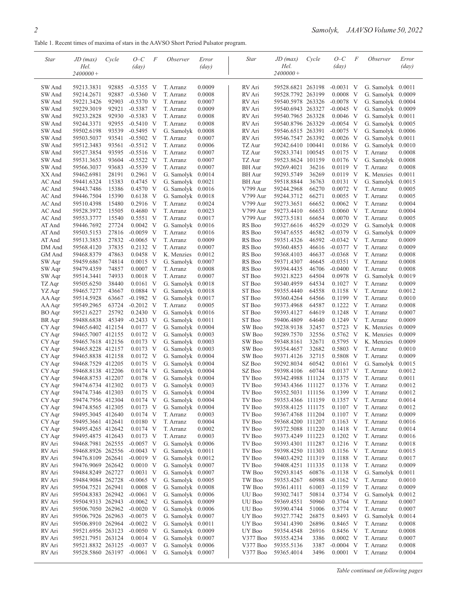Table 1. Recent times of maxima of stars in the AAVSO Short Period Pulsator program.

| Star             | JD (max)<br>Hel.<br>$2400000+$                   | Cycle          | $O-C$<br>$\left(\frac{day}{y}\right)$ | F | <i>Observer</i>                          | Error<br>$\langle day \rangle$ | Star                      | JD (max)<br>Hel.<br>$2400000+$         | Cycle          | $O-C$<br>$\left(\frac{day}{y}\right)$ | F | Observer                                 | Error<br>$\left(\frac{day}{y}\right)$ |
|------------------|--------------------------------------------------|----------------|---------------------------------------|---|------------------------------------------|--------------------------------|---------------------------|----------------------------------------|----------------|---------------------------------------|---|------------------------------------------|---------------------------------------|
|                  |                                                  |                |                                       |   |                                          |                                |                           |                                        |                |                                       |   |                                          |                                       |
| SW And           | 59213.3831                                       | 92885          | $-0.5355$ V                           |   | T. Arranz                                | 0.0009                         | RV Ari                    | 59528.6821 263198                      |                | $-0.0031$ V                           |   | G. Samolyk $0.0011$                      |                                       |
| SW And           | 59214.2671                                       | 92887<br>92903 | $-0.5360$ V                           |   | T. Arranz<br>T. Arranz                   | 0.0008                         | RV Ari<br>RV Ari          | 59528.7792 263199                      |                | $0.0008$ V                            |   | G. Samolyk 0.0009                        |                                       |
| SW And<br>SW And | 59221.3426<br>59229.3019                         | 92921          | $-0.5370$ V<br>$-0.5387$ V            |   | T. Arranz                                | 0.0007<br>0.0009               | RV Ari                    | 59540.5978 263326<br>59540.6943 263327 |                | $-0.0078$ V<br>$-0.0045$ V            |   | G. Samolyk $0.0004$<br>G. Samolyk 0.0009 |                                       |
| SW And           | 59233.2828                                       | 92930          | $-0.5383$ V                           |   | T. Arranz                                | 0.0008                         | RV Ari                    | 59540.7965 263328                      |                | $0.0046$ V                            |   | G. Samolyk 0.0011                        |                                       |
| SW And           | 59244.3371                                       | 92955          | $-0.5410$ V                           |   | T. Arranz                                | 0.0008                         | RV Ari                    | 59540.8796 263329                      |                | $-0.0054$ V                           |   | G. Samolyk 0.0005                        |                                       |
| SW And           | 59502.6198                                       | 93539          | $-0.5495$ V                           |   | G. Samolyk                               | 0.0008                         | RV Ari                    | 59546.6515 263391                      |                | $-0.0075$ V                           |   | G. Samolyk 0.0006                        |                                       |
| SW And           | 59503.5037                                       | 93541          | $-0.5502$ V                           |   | T. Arranz                                | 0.0007                         | RV Ari                    | 59546.7547 263392                      |                | $0.0026$ V                            |   | G. Samolyk $0.0011$                      |                                       |
| SW And           | 59512.3483                                       | 93561          | $-0.5512$ V                           |   | T. Arranz                                | 0.0006                         | TZ Aur                    | 59242.6410 100441                      |                | $0.0186$ V                            |   | G. Samolyk 0.0010                        |                                       |
| SW And           | 59527.3854                                       | 93595          | $-0.5516$ V                           |   | T. Arranz                                | 0.0007                         | TZ Aur                    | 59283.3741 100545                      |                | $0.0175$ V                            |   | T. Arranz                                | 0.0008                                |
| SW And           | 59531.3653                                       | 93604          | $-0.5522$ V                           |   | T. Arranz                                | 0.0007                         | TZ Aur                    | 59523.8624 101159                      |                | $0.0176$ V                            |   | G. Samolyk 0.0008                        |                                       |
| SW And           | 59566.3037                                       | 93683          | $-0.5539$ V                           |   | T. Arranz                                | 0.0007                         | <b>BH</b> Aur             | 59269.4021                             | 36216          | $0.0119$ V                            |   | T. Arranz                                | 0.0008                                |
| XX And           | 59462.6981                                       | 28191          | 0.2961 V                              |   | G. Samolyk 0.0014                        |                                | <b>BH</b> Aur             | 59293.5749                             | 36269          | $0.0119$ V                            |   | K. Menzies                               | 0.0011                                |
| AC And<br>AC And | 59441.6324<br>59443.7486                         | 15383<br>15386 | $0.4745$ V<br>$0.4570$ V              |   | G. Samolyk $0.0021$<br>G. Samolyk        | 0.0016                         | <b>BH</b> Aur<br>V799 Aur | 59518.8844<br>59244.2968               | 36763<br>66270 | $0.0131$ V<br>$0.0072 \quad V$        |   | G. Samolyk<br>T. Arranz                  | 0.0015<br>0.0005                      |
| AC And           | 59446.7504                                       | 15390          | $0.6138$ V                            |   | G. Samolyk $0.0018$                      |                                | V799 Aur                  | 59244.3712                             | 66271          | $0.0055$ V                            |   | T. Arranz                                | 0.0005                                |
| AC And           | 59510.4398                                       | 15480          | $0.2916$ V                            |   | T. Arranz                                | 0.0024                         | V799 Aur                  | 59273.3651                             | 66652          | $0.0062 \quad V$                      |   | T. Arranz                                | 0.0004                                |
| AC And           | 59528.3972                                       | 15505          | $0.4680$ V                            |   | T. Arranz                                | 0.0023                         | V799 Aur                  | 59273.4410                             | 66653          | $0.0060 \text{ V}$                    |   | T. Arranz                                | 0.0004                                |
| AC And           | 59553.3777                                       | 15540          | $0.5551$ V                            |   | T. Arranz                                | 0.0017                         | V799 Aur                  | 59273.5181                             | 66654          | $0.0070$ V                            |   | T. Arranz                                | 0.0005                                |
| AT And           | 59446.7692                                       | 27724          | $0.0042$ V                            |   | G. Samolyk                               | 0.0016                         | RS Boo                    | 59327.6616                             | 46529          | $-0.0329$ V                           |   | G. Samolyk                               | 0.0008                                |
| AT And           | 59503.5153                                       | 27816          | $-0.0059$ V                           |   | T. Arranz                                | 0.0016                         | RS Boo                    | 59347.6555                             | 46582          | $-0.0379$ V                           |   | G. Samolyk                               | 0.0009                                |
| AT And           | 59513.3853                                       | 27832          | $-0.0065$ V                           |   | T. Arranz                                | 0.0009                         | RS Boo                    | 59351.4326                             | 46592          | $-0.0342$ V                           |   | T. Arranz                                | 0.0009                                |
| DM And           | 59568.4120                                       | 37835          | $0.2132 \, V$                         |   | T. Arranz                                | 0.0007                         | RS Boo                    | 59360.4853                             | 46616          | $-0.0377$ V                           |   | T. Arranz                                | 0.0009                                |
| GM And           | 59468.8379                                       | 47863          | $0.0458$ V                            |   | K. Menzies                               | 0.0012                         | RS Boo                    | 59368.4103                             | 46637          | $-0.0368$ V                           |   | T. Arranz                                | 0.0008                                |
| SW Aqr           | 59459.6867                                       | 74814          | $0.0015$ V                            |   | G. Samolyk                               | 0.0007                         | RS Boo                    | 59371.4307                             | 46645<br>46706 | $-0.0351$ V                           |   | T. Arranz                                | 0.0008                                |
| SW Aqr<br>SW Aqr | 59479.4359<br>59514.3441                         | 74857<br>74933 | $0.0007$ V<br>$0.0018$ V              |   | T. Arranz<br>T. Arranz                   | 0.0008<br>0.0007               | RS Boo<br>ST Boo          | 59394.4435<br>59321.8223               | 64504          | $-0.0400$ V<br>$0.0978$ V             |   | T. Arranz<br>G. Samolyk                  | 0.0008<br>0.0019                      |
| TZ Aqr           | 59505.6250                                       | 38440          | $0.0161$ V                            |   | G. Samolyk $0.0018$                      |                                | ST Boo                    | 59340.4959                             | 64534          | $0.1027$ V                            |   | T. Arranz                                | 0.0009                                |
| YZ Aqr           | 59465.7277                                       | 43667          | $0.0884$ V                            |   | G. Samolyk $0.0018$                      |                                | ST Boo                    | 59355.4440                             | 64558          | 0.1158 V                              |   | T. Arranz                                | 0.0012                                |
| AA Aqr           | 59514.5928                                       | 63667          | $-0.1982$ V                           |   | G. Samolyk 0.0017                        |                                | ST Boo                    | 59360.4264                             | 64566          | $0.1199$ V                            |   | T. Arranz                                | 0.0010                                |
| AA Aqr           | 59549.2965                                       | 63724          | $-0.2012$ V                           |   | T. Arranz                                | 0.0005                         | ST Boo                    | 59373.4968                             | 64587          | $0.1222 \, V$                         |   | T. Arranz                                | 0.0008                                |
| <b>BO</b> Aqr    | 59521.6227                                       | 25792          | $0.2430 \, \text{V}$                  |   | G. Samolyk 0.0016                        |                                | ST Boo                    | 59393.4127                             | 64619          | 0.1248 V                              |   | T. Arranz                                | 0.0007                                |
| <b>BR</b> Aqr    | 59488.6838                                       | 45349          | $-0.2433$ V                           |   | G. Samolyk $0.0011$                      |                                | ST Boo                    | 59406.4809                             | 64640          | $0.1249$ V                            |   | T. Arranz                                | 0.0009                                |
| CY Agr           | 59465.6402 412154                                |                | $0.0177$ V                            |   | G. Samolyk 0.0004                        |                                | SW Boo                    | 59238.9138                             | 32457          | $0.5723$ V                            |   | K. Menzies                               | 0.0009                                |
| CY Aqr           | 59465.7007 412155                                |                | $0.0172$ V                            |   | G. Samolyk $0.0003$                      |                                | SW Boo                    | 59289.7570                             | 32556          | $0.5762$ V                            |   | K. Menzies                               | 0.0009                                |
| CY Aqr           | 59465.7618 412156                                |                | $0.0173$ V                            |   | G. Samolyk $0.0003$                      |                                | SW Boo                    | 59348.8161                             | 32671          | 0.5795 V                              |   | K. Menzies                               | 0.0009                                |
| CY Aqr           | 59465.8228 412157                                |                | $0.0173$ V<br>0.0172 V                |   | G. Samolyk 0.0003<br>G. Samolyk 0.0004   |                                | SW Boo                    | 59354.4657                             | 32682<br>32715 | $0.5803$ V<br>0.5808 V                |   | T. Arranz                                | 0.0010                                |
| CY Aqr<br>CY Aqr | 59465.8838 412158<br>59468.7529 412205           |                | $0.0175$ V                            |   | G. Samolyk 0.0004                        |                                | SW Boo<br>SZ Boo          | 59371.4126<br>59292.8034               | 60542          | $0.0161$ V                            |   | T. Arranz<br>G. Samolyk                  | 0.0009<br>0.0015                      |
| CY Aqr           | 59468.8138 412206                                |                | $0.0174$ V                            |   | G. Samolyk 0.0004                        |                                | SZ Boo                    | 59398.4106                             | 60744          | $0.0137$ V                            |   | T. Arranz                                | 0.0012                                |
| CY Aqr           | 59468.8753 412207                                |                | $0.0178$ V                            |   | G. Samolyk 0.0004                        |                                | TV Boo                    | 59342.4988 111124                      |                | $0.1375$ V                            |   | T. Arranz                                | 0.0011                                |
| CY Aqr           | 59474.6734 412302                                |                | $0.0173$ V                            |   | G. Samolyk 0.0003                        |                                | TV Boo                    | 59343.4366 111127                      |                | $0.1376$ V                            |   | T. Arranz                                | 0.0012                                |
| ${\rm CY}$ Aqr   | 59474.7346 412303                                |                |                                       |   | 0.0175 V G. Samolyk 0.0004               |                                | TV Boo                    | 59352.5031 111156                      |                | 0.1399 V                              |   | T. Arranz                                | 0.0012                                |
| CY Aqr           | 59474.7956 412304                                |                | $0.0174$ V                            |   | G. Samolyk $0.0004$                      |                                | TV Boo                    | 59353.4366 111159                      |                | $0.1357$ V                            |   | T. Arranz                                | 0.0014                                |
| CY Aqr           | 59474.8565 412305                                |                | $0.0173$ V                            |   | G. Samolyk $0.0004$                      |                                | TV Boo                    | 59358.4125 111175                      |                | $0.1107$ V                            |   | T. Arranz                                | 0.0012                                |
| CY Aqr           | 59495.3045 412640                                |                | $0.0174$ V                            |   | T. Arranz                                | 0.0003                         | TV Boo                    | 59367.4768 111204                      |                | $0.1107$ V                            |   | T. Arranz                                | 0.0009                                |
| CY Aqr           | 59495.3661 412641                                |                | $0.0180$ V                            |   | T. Arranz                                | 0.0004                         | TV Boo                    | 59368.4200 111207                      |                | $0.1163$ V                            |   | T. Arranz                                | 0.0016                                |
| CY Aqr           | 59495.4265 412642                                |                | $0.0174$ V                            |   | T. Arranz                                | 0.0002                         | TV Boo                    | 59372.5088 111220                      |                | 0.1418 V                              |   | T. Arranz                                | 0.0014                                |
| CY Aqr<br>RV Ari | 59495.4875 412643<br>59468.7981 262555           |                | $0.0173$ V<br>$-0.0057$ V             |   | T. Arranz<br>G. Samolyk 0.0006           | 0.0003                         | TV Boo<br>TV Boo          | 59373.4249 111223<br>59393.4301 111287 |                | $0.1202 \text{ V}$<br>$0.1216$ V      |   | T. Arranz<br>T. Arranz                   | 0.0016<br>0.0018                      |
| RV Ari           | 59468.8926 262556                                |                | $-0.0043$ V                           |   | G. Samolyk $0.0011$                      |                                | TV Boo                    | 59398.4250 111303                      |                | $0.1156$ V                            |   | T. Arranz                                | 0.0015                                |
| RV Ari           | 59476.8109 262641                                |                | $-0.0019$ V                           |   | G. Samolyk $0.0012$                      |                                | TV Boo                    | 59403.4292 111319                      |                | 0.1188 V                              |   | T. Arranz                                | 0.0017                                |
| RV Ari           | 59476.9069 262642                                |                | $0.0010$ V                            |   | G. Samolyk 0.0007                        |                                | TV Boo                    | 59408.4251 111335                      |                | 0.1138 V                              |   | T. Arranz                                | 0.0009                                |
| RV Ari           | 59484.8249 262727                                |                | $0.0031$ V                            |   | G. Samolyk 0.0007                        |                                | TW Boo                    | 59293.8145                             | 60876          | $-0.1138$ V                           |   | G. Samolyk                               | 0.0011                                |
| RV Ari           | 59484.9084 262728                                |                | $-0.0065$ V                           |   | G. Samolyk 0.0005                        |                                | TW Boo                    | 59353.4267                             | 60988          | $-0.1162$ V                           |   | T. Arranz                                | 0.0010                                |
| RV Ari           | 59504.7521 262941                                |                | $0.0008$ V                            |   | G. Samolyk 0.0008                        |                                | TW Boo                    | 59361.4111                             | 61003          | $-0.1159$ V                           |   | T. Arranz                                | 0.0009                                |
| RV Ari           | 59504.8383 262942                                |                | $-0.0061$ V                           |   | G. Samolyk 0.0006                        |                                | UU Boo                    | 59302.7417                             | 50814          | 0.3734 V                              |   | G. Samolyk $0.0012$                      |                                       |
| RV Ari           | 59504.9313 262943                                |                | $-0.0062$ V                           |   | G. Samolyk 0.0009                        |                                | UU Boo                    | 59369.4551                             | 50960          | $0.3764$ V                            |   | T. Arranz                                | 0.0007                                |
| RV Ari           | 59506.7050 262962                                |                | $-0.0020$ V                           |   | G. Samolyk 0.0006                        |                                | UU Boo                    | 59390.4744                             | 51006          | $0.3774$ V                            |   | T. Arranz                                | 0.0007                                |
| RV Ari           | 59506.7926 262963                                |                | $-0.0075$ V                           |   | G. Samolyk 0.0007                        |                                | UY Boo                    | 59327.7742                             | 26875          | 0.8493 V                              |   | G. Samolyk                               | 0.0014                                |
| RV Ari<br>RV Ari | 59506.8910 262964 -0.0022 V<br>59521.6956 263123 |                | $-0.0050$ V                           |   | G. Samolyk $0.0011$<br>G. Samolyk 0.0009 |                                | UY Boo<br>UY Boo          | 59341.4390<br>59354.4548               | 26896<br>26916 | 0.8465 V<br>0.8456 V                  |   | T. Arranz<br>T. Arranz                   | 0.0008<br>0.0008                      |
| RV Ari           | 59521.7951 263124                                |                | $0.0014$ V                            |   | G. Samolyk 0.0007                        |                                | V377 Boo                  | 59355.4234                             | 3386           | $0.0002 \quad V$                      |   | T. Arranz                                | 0.0007                                |
| RV Ari           | 59521.8832 263125                                |                | $-0.0037$ V                           |   | G. Samolyk $0.0006$                      |                                | V377 Boo                  | 59355.5136                             | 3387           | $-0.0004$ V                           |   | T. Arranz                                | 0.0008                                |
| RV Ari           | 59528.5860 263197 -0.0061 V                      |                |                                       |   | G. Samolyk 0.0007                        |                                | V377 Boo                  | 59365.4014                             | 3496           | $0.0001$ V                            |   | T. Arranz                                | 0.0004                                |
|                  |                                                  |                |                                       |   |                                          |                                |                           |                                        |                |                                       |   |                                          |                                       |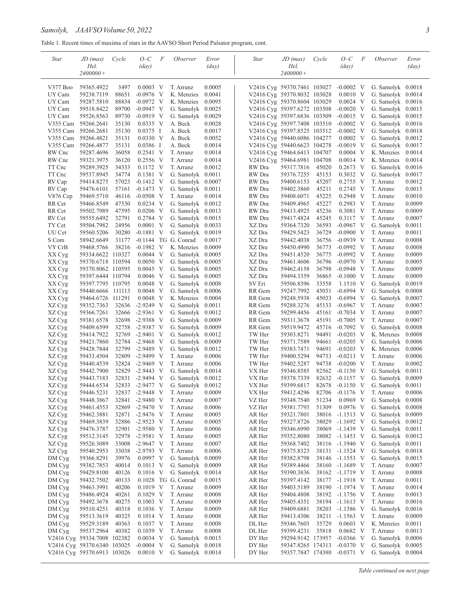## *Samolyk, JAAVSOVolume 50, 2022* **3**

Table 1. Recent times of maxima of stars in the AAVSO Short Period Pulsator program, cont.

| Star               | $JD$ (max)                  | Cycle          | $O-C$                              | F | Observer                                 | Error                 | Star             | $JD$ (max)                                                 | Cycle          | 0–С                                | F | Observer                                 | Error            |
|--------------------|-----------------------------|----------------|------------------------------------|---|------------------------------------------|-----------------------|------------------|------------------------------------------------------------|----------------|------------------------------------|---|------------------------------------------|------------------|
|                    | Hel.<br>$2400000+$          |                | $\left(\frac{day}{y}\right)$       |   |                                          | $\langle day \rangle$ |                  | Hel.<br>$2400000+$                                         |                | $\langle day \rangle$              |   |                                          | $\frac{day}{)}$  |
|                    |                             |                |                                    |   |                                          |                       |                  |                                                            |                |                                    |   |                                          |                  |
| V377 Boo<br>UY Cam | 59365.4922<br>59238.7119    | 3497<br>88651  | $0.0003$ V<br>$-0.0976$ V          |   | T. Arranz<br>K. Menzies                  | 0.0005<br>0.0041      |                  | V2416 Cyg 59370.7461 103027<br>V2416 Cyg 59370.8032 103028 |                | $-0.0002$ V<br>$0.0010$ V          |   | G. Samolyk $0.0018$<br>G. Samolyk 0.0014 |                  |
| UY Cam             | 59287.5810                  | 88834          | $-0.0972$ V                        |   | K. Menzies                               | 0.0095                |                  | V2416 Cyg 59370.8604 103029                                |                | $0.0024$ V                         |   | G. Samolyk $0.0016$                      |                  |
| UY Cam             | 59518.8422                  | 89700          | $-0.0947$ V                        |   | G. Samolyk                               | 0.0025                |                  | V2416 Cyg 59397.6272 103508                                |                | $-0.0020$ V                        |   | G. Samolyk 0.0015                        |                  |
| UY Cam             | 59526.8563                  | 89730          | $-0.0919$ V                        |   | G. Samolyk $0.0029$                      |                       |                  | V2416 Cyg 59397.6836 103509                                |                | $-0.0015$ V                        |   | G. Samolyk $0.0015$                      |                  |
| V355 Cam           | 59266.2641                  | 35130          | $0.0335$ V                         |   | A. Beck                                  | 0.0028                |                  | V2416 Cyg 59397.7408 103510                                |                | $-0.0002$ V                        |   | G. Samolyk 0.0016                        |                  |
|                    | V355 Cam 59266.2681         | 35130          | $0.0375$ I                         |   | A. Beck                                  | 0.0017                |                  | V2416 Cyg 59397.8525 103512                                |                | $-0.0002$ V                        |   | G. Samolyk 0.0018                        |                  |
|                    | V355 Cam 59266.4821         | 35131          | $0.0330 \, \text{V}$               |   | A. Beck                                  | 0.0052                |                  | V2416 Cyg 59440.6086 104277                                |                | $0.0002 \quad V$                   |   | G. Samolyk 0.0012                        |                  |
| V355 Cam           | 59266.4877                  | 35131          | $0.0386$ I                         |   | A. Beck                                  | 0.0014                |                  | V2416 Cyg 59440.6623 104278                                |                | $-0.0019$ V                        |   | G. Samolyk 0.0017                        |                  |
| RW Cnc             | 59287.4696                  | 36058          | $0.2541$ V                         |   | T. Arranz                                | 0.0014                |                  | V2416 Cyg 59464.6413 104707                                |                | $0.0004$ V                         |   | K. Menzies                               | 0.0014           |
| RW Cnc<br>TT Cnc   | 59321.3975<br>59289.3925    | 36120<br>34333 | $0.2556$ V<br>$0.1172 \quad V$     |   | T. Arranz<br>T. Arranz                   | 0.0014<br>0.0012      | RW Dra           | V2416 Cyg 59464.6981 104708<br>59317.7816                  | 45020          | $0.0014$ V<br>$0.2673$ V           |   | K. Menzies<br>G. Samolyk 0.0016          | 0.0014           |
| TT Cnc             | 59537.8945                  | 34774          | 0.1381 V                           |   | G. Samolyk $0.0011$                      |                       | RW Dra           | 59376.7255                                                 | 45153          | 0.3032 V                           |   | G. Samolyk 0.0017                        |                  |
| RV Cap             | 59414.8275                  | 57023          | $-0.1412$ V                        |   | G. Samolyk $0.0007$                      |                       | RW Dra           | 59400.6153                                                 | 45207          | $0.2755$ V                         |   | T. Arranz                                | 0.0012           |
| RV Cap             | 59476.6101                  | 57161          | $-0.1473$ V                        |   | G. Samolyk $0.0011$                      |                       | RW Dra           | 59402.3860                                                 | 45211          | $0.2745$ V                         |   | T. Arranz                                | 0.0015           |
| V876 Cep           | 59469.5710                  | 46116          | $-0.0508$ V                        |   | T. Arranz                                | 0.0014                | RW Dra           | 59408.6071                                                 | 45225          | $0.2948$ V                         |   | T. Arranz                                | 0.0010           |
| RR Cet             | 59466.8549                  | 47530          | $0.0234$ V                         |   | G. Samolyk 0.0012                        |                       | RW Dra           | 59409.4965                                                 | 45227          | 0.2983 V                           |   | T. Arranz                                | 0.0009           |
| RR Cet             | 59502.7989                  | 47595          | $0.0206$ V                         |   | G. Samolyk $0.0013$                      |                       | RW Dra           | 59413.4925                                                 | 45236          | 0.3081 V                           |   | T. Arranz                                | 0.0009           |
| RV Cet             | 59555.6492                  | 32791          | 0.2784 V                           |   | G. Samolyk 0.0015                        |                       | RW Dra           | 59417.4824                                                 | 45245          | 0.3117 V                           |   | T. Arranz                                | 0.0007           |
| TY Cet             | 59504.7982                  | 24956          | $0.0001$ V                         |   | G. Samolyk $0.0033$                      |                       | XZ Dra           | 59364.7320                                                 | 36593          | $-0.0967$ V                        |   | G. Samolyk                               | 0.0011           |
| UU Cet             | 59560.5206                  | 30280          | $-0.1881$ V                        |   | G. Samolyk $0.0019$                      |                       | XZ Dra           | 59429.5423                                                 | 36729          | $-0.0900$ V                        |   | T. Arranz                                | 0.0011           |
| S Com<br>VY CrB    | 58942.6649<br>59468.5766    | 31177<br>38216 | $-0.1982$ V                        |   | $-0.1144$ TG G. Conrad<br>K. Menzies     | 0.0017<br>0.0009      | XZ Dra<br>XZ Dra | 59442.4038<br>59450.4990                                   | 36756<br>36773 | $-0.0939$ V<br>$-0.0992$ V         |   | T. Arranz<br>T. Arranz                   | 0.0008<br>0.0008 |
| XX Cyg             | 59334.6622 110327           |                | $0.0044$ V                         |   | G. Samolyk 0.0005                        |                       | XZ Dra           | 59451.4520                                                 | 36775          | $-0.0992$ V                        |   | T. Arranz                                | 0.0009           |
| XX Cyg             | 59370.6718 110594           |                | $0.0050$ V                         |   | G. Samolyk $0.0005$                      |                       | XZ Dra           | 59461.4606                                                 | 36796          | $-0.0970$ V                        |   | T. Arranz                                | 0.0005           |
| XX Cyg             | 59370.8062 110595           |                | $0.0045$ V                         |   | G. Samolyk $0.0005$                      |                       | XZ Dra           | 59462.4158                                                 | 36798          | $-0.0948$ V                        |   | T. Arranz                                | 0.0009           |
| XX Cyg             | 59397.6444 110794           |                | $0.0046$ V                         |   | G. Samolyk 0.0005                        |                       | XZ Dra           | 59494.3359                                                 | 36865          | $-0.1000$ V                        |   | T. Arranz                                | 0.0009           |
| XX Cyg             | 59397.7795 110795           |                | $0.0048$ V                         |   | G. Samolyk $0.0008$                      |                       | SV Eri           | 59506.8396                                                 | 33558          | 1.1510 V                           |   | G. Samolyk $0.0019$                      |                  |
| XX Cyg             | 59440.6666                  | 111113         | $0.0048$ V                         |   | G. Samolyk 0.0006                        |                       | RR Gem           | 59247.7992                                                 | 45031          | $-0.6994$ V                        |   | G. Samolyk                               | 0.0008           |
| XX Cyg             | 59464.6726                  | 111291         | $0.0048$ V                         |   | K. Menzies $0.0004$                      |                       | RR Gem           | 59248.5938                                                 | 45033          | $-0.6994$ V                        |   | G. Samolyk                               | 0.0007           |
| XZ Cyg             | 59352.7363                  | 32636          | $-2.9249$ V                        |   | G. Samolyk $0.0011$                      |                       | RR Gem           | 59288.3276                                                 | 45133          | $-0.6967$ V                        |   | T. Arranz                                | 0.0007           |
| XZ Cyg             | 59366.7261                  | 32666          | $-2.9361$ V                        |   | G. Samolyk 0.0012                        |                       | RR Gem           | 59299.4456                                                 | 45161          | $-0.7034$ V                        |   | T. Arranz                                | 0.0007           |
| XZ Cyg<br>XZ Cyg   | 59381.6578<br>59409.6599    | 32698<br>32758 | $-2.9388$ V<br>$-2.9387$ V         |   | G. Samolyk $0.0009$<br>G. Samolyk 0.0009 |                       | RR Gem<br>RR Gem | 59311.3678                                                 | 45191<br>45716 | $-0.7005$ V<br>$-0.7092$ V         |   | T. Arranz<br>G. Samolyk 0.0008           | 0.0007           |
| XZ Cyg             | 59414.7922                  | 32769          | $-2.9401$ V                        |   | G. Samolyk $0.0012$                      |                       | TW Her           | 59519.9472<br>59303.8271                                   | 94491          | $-0.0203$ V                        |   | K. Menzies                               | 0.0008           |
| XZ Cyg             | 59421.7860                  | 32784          | $-2.9468$ V                        |   | G. Samolyk $0.0009$                      |                       | TW Her           | 59371.7589                                                 | 94661          | $-0.0205$ V                        |   | G. Samolyk                               | 0.0006           |
| XZ Cyg             | 59428.7844                  | 32799          | $-2.9489$ V                        |   | G. Samolyk 0.0012                        |                       | TW Her           | 59383.7471                                                 | 94691          | $-0.0203$ V                        |   | K. Menzies                               | 0.0006           |
| XZ Cyg             | 59433.4504                  | 32809          | $-2.9499$ V                        |   | T. Arranz                                | 0.0006                | TW Her           | 59400.5294                                                 | 94733          | $-0.0213$ V                        |   | T. Arranz                                | 0.0006           |
| XZ Cyg             | 59440.4539                  | 32824          | $-2.9469$ V                        |   | T. Arranz                                | 0.0006                | TW Her           | 59402.5287                                                 | 94738          | $-0.0200$ V                        |   | T. Arranz                                | 0.0002           |
| XZ Cyg             | 59442.7900                  | 32829          | $-2.9443$ V                        |   | G. Samolyk $0.0014$                      |                       | VX Her           | 59346.8585                                                 | 82562          | $-0.1150$ V                        |   | G. Samolyk $0.0011$                      |                  |
| XZ Cyg             | 59443.7183                  | 32831          | -2.9494 V                          |   | G. Samolyk $0.0012$                      |                       | VX Her           | 59378.7339                                                 | 82632          | $-0.1157$ V                        |   | G. Samolyk 0.0009                        |                  |
| XZ Cyg             | 59444.6534                  |                | 32833 -2.9477 V                    |   | G. Samolyk $0.0012$                      |                       | VX Her           | 59399.6817                                                 | 82678          | $-0.1150$ V                        |   | G. Samolyk 0.0011                        |                  |
| XZ Cyg             | 59446.5231                  |                |                                    |   | 32837 -2.9448 V T. Arranz                | 0.0009                | VX Her           | 59412.4296                                                 |                |                                    |   | 82706 -0.1176 V T. Arranz                | 0.0006           |
| XZ Cyg<br>XZ Cyg   | 59448.3867<br>59461.4553    |                | 32841 -2.9480 V<br>32869 -2.9470 V |   | T. Arranz<br>T. Arranz                   | 0.0007<br>0.0006      | VZ Her<br>VZ Her | 59348.7540<br>59381.7793                                   | 51234<br>51309 | $0.0969$ V<br>$0.0976$ V           |   | G. Samolyk 0.0008<br>G. Samolyk $0.0008$ |                  |
| XZ Cyg             | 59462.3881                  |                | 32871 -2.9476 V                    |   | T. Arranz                                | 0.0005                | AR Her           | 59321.7801                                                 | 38016          | $-1.1513$ V                        |   | G. Samolyk 0.0009                        |                  |
| XZ Cyg             | 59469.3839                  |                | 32886 -2.9523 V                    |   | T. Arranz                                | 0.0005                | AR Her           | 59327.8726                                                 |                | 38029 -1.1692 V                    |   | G. Samolyk 0.0012                        |                  |
| XZ Cyg             | 59476.3787                  |                | 32901 -2.9580 V                    |   | T. Arranz                                | 0.0006                | AR Her           | 59346.6990                                                 |                | 38069 -1.1439 V                    |   | G. Samolyk 0.0011                        |                  |
| XZ Cyg             | 59512.3145                  | 32978          | $-2.9581$ V                        |   | T. Arranz                                | 0.0005                | AR Her           | 59352.8080                                                 |                | 38082 -1.1453 V                    |   | G. Samolyk 0.0012                        |                  |
| XZ Cyg             | 59526.3089                  |                | 33008 -2.9647 V                    |   | T. Arranz                                | 0.0007                | AR Her           | 59368.7402                                                 |                | 38116 -1.1940 V                    |   | G. Samolyk 0.0011                        |                  |
| XZ Cyg             | 59540.2953                  | 33038          | -2.9793 V                          |   | T. Arranz                                | 0.0006                | AR Her           | 59375.8323                                                 |                | 38131 -1.1524 V                    |   | G. Samolyk 0.0018                        |                  |
| DM Cyg             | 59366.8291                  | 39976          | $0.0997$ V                         |   | G. Samolyk 0.0009                        |                       | AR Her           | 59382.8798                                                 |                | 38146 -1.1553 V                    |   | G. Samolyk 0.0015                        |                  |
| DM Cyg             | 59382.7853                  | 40014          | $0.1013$ V                         |   | G. Samolyk $0.0009$                      |                       | AR Her           | 59389.4466                                                 |                | 38160 -1.1689 V                    |   | T. Arranz                                | 0.0007           |
| DM Cyg             | 59429.8100                  | 40126          | $0.1016$ V                         |   | G. Samolyk                               | 0.0014                | AR Her           | 59390.3836                                                 |                | 38162 -1.1719 V                    |   | T. Arranz                                | 0.0008           |
| DM Cyg<br>DM Cyg   | 59432.7502<br>59463.3991    | 40133<br>40206 | $0.1019$ V                         |   | 0.1028 TG G. Conrad<br>T. Arranz         | 0.0015<br>0.0009      | AR Her<br>AR Her | 59397.4142<br>59403.5189                                   |                | 38177 -1.1918 V<br>38190 -1.1974 V |   | T. Arranz<br>T. Arranz                   | 0.0011<br>0.0014 |
| DM Cyg             | 59486.4924                  | 40261          | $0.1029$ V                         |   | T. Arranz                                | 0.0008                | AR Her           | 59404.4808                                                 |                | 38192 -1.1756 V                    |   | T. Arranz                                | 0.0013           |
| DM Cyg             | 59492.3678                  | 40275          | $0.1003 \text{ V}$                 |   | T. Arranz                                | 0.0009                | AR Her           | 59405.4351                                                 |                | 38194 -1.1613 V                    |   | T. Arranz                                | 0.0016           |
| DM Cyg             | 59510.4251                  | 40318          | $0.1036$ V                         |   | T. Arranz                                | 0.0009                | AR Her           | 59409.6881                                                 | 38203          | $-1.1386$ V                        |   | G. Samolyk 0.0016                        |                  |
| DM Cyg             | 59513.3619                  | 40325          | $0.1014$ V                         |   | T. Arranz                                | 0.0008                | AR Her           | 59413.4306                                                 | 38211          | $-1.1563$ V                        |   | T. Arranz                                | 0.0009           |
| DM Cyg             | 59529.3189                  | 40363          | $0.1037$ V                         |   | T. Arranz                                | 0.0008                | DL Her           | 59346.7603                                                 | 35729          | $0.0603$ V                         |   | K. Menzies                               | 0.0011           |
| DM Cyg             | 59537.2964                  | 40382          | $0.1039$ V                         |   | T. Arranz                                | 0.0008                | DL Her           | 59399.4231                                                 | 35818          | $0.0682$ V                         |   | T. Arranz                                | 0.0013           |
|                    | V2416 Cyg 59334.7008 102382 |                | $0.0034$ V                         |   | G. Samolyk $0.0015$                      |                       | DY Her           | 59294.9142 173957                                          |                | $-0.0366$ V                        |   | G. Samolyk $0.0006$                      |                  |
|                    | V2416 Cyg 59370.6340 103025 |                | $-0.0004$ V                        |   | G. Samolyk $0.0018$                      |                       | DY Her           | 59347.8265 174313                                          |                | $-0.0370$ V                        |   | G. Samolyk 0.0005                        |                  |
|                    | V2416 Cyg 59370.6913 103026 |                | $0.0010$ V                         |   | G. Samolyk 0.0014                        |                       | DY Her           | 59357.7847 174380 -0.0371 V                                |                |                                    |   | G. Samolyk 0.0004                        |                  |